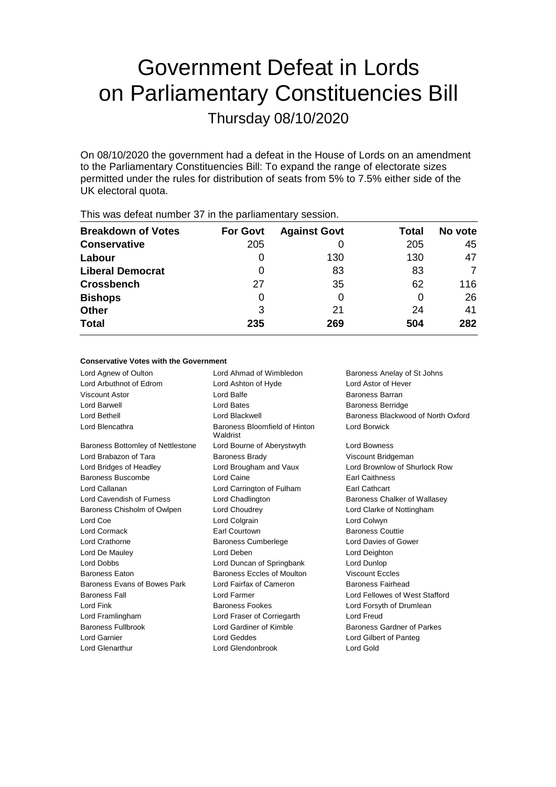# Government Defeat in Lords on Parliamentary Constituencies Bill

Thursday 08/10/2020

On 08/10/2020 the government had a defeat in the House of Lords on an amendment to the Parliamentary Constituencies Bill: To expand the range of electorate sizes permitted under the rules for distribution of seats from 5% to 7.5% either side of the UK electoral quota.

| <b>Breakdown of Votes</b> | <b>For Govt</b> | <b>Against Govt</b> | Total | No vote |
|---------------------------|-----------------|---------------------|-------|---------|
| <b>Conservative</b>       | 205             |                     | 205   | 45      |
| Labour                    | 0               | 130                 | 130   | 47      |
| <b>Liberal Democrat</b>   | 0               | 83                  | 83    |         |
| <b>Crossbench</b>         | 27              | 35                  | 62    | 116     |
| <b>Bishops</b>            | 0               | 0                   | O     | 26      |
| <b>Other</b>              | 3               | 21                  | 24    | 41      |
| <b>Total</b>              | 235             | 269                 | 504   | 282     |
|                           |                 |                     |       |         |

This was defeat number 37 in the parliamentary session.

## **Conservative Votes with the Government**

Lord Agnew of Oulton Lord Ahmad of Wimbledon Baroness Anelay of St Johns Lord Arbuthnot of Edrom Lord Ashton of Hyde Lord Astor of Hever Viscount Astor Lord Balfe Baroness Barran Lord Barwell **Lord Bates Concerned Baroness Berridge Baroness Berridge** Lord Bethell Lord Blackwell Baroness Blackwood of North Oxford Lord Blencathra **Baroness** Bloomfield of Hinton Waldrist Lord Borwick Baroness Bottomley of Nettlestone Lord Bourne of Aberystwyth Lord Bowness Lord Brabazon of Tara **Baroness Brady Communist Constructs** Viscount Bridgeman Lord Bridges of Headley Lord Brougham and Vaux Lord Brownlow of Shurlock Row Baroness Buscombe **Earl Caine** Earl Caithness **Buscombe Earl** Caithness Lord Callanan Lord Carrington of Fulham Earl Cathcart Lord Cavendish of Furness Lord Chadlington Baroness Chalker of Wallasey Baroness Chisholm of Owlpen Lord Choudrey Lord Clarke of Nottingham Lord Coe Lord Colgrain Lord Colwyn Lord Cormack **Earl Courtown** Earl Courtown Baroness Couttie Lord Crathorne Baroness Cumberlege Lord Davies of Gower Lord De Mauley Lord Deben Lord Deighton Lord Dobbs Lord Duncan of Springbank Lord Dunlop Baroness Eaton Baroness Eccles of Moulton Viscount Eccles Baroness Evans of Bowes Park Lord Fairfax of Cameron Baroness Fairhead Baroness Fall Lord Farmer Lord Fellowes of West Stafford Lord Fink **Baroness Fookes** Lord Forsyth of Drumlean Lord Framlingham Lord Fraser of Corriegarth Lord Freud Baroness Fullbrook Lord Gardiner of Kimble Baroness Gardner of Parkes Lord Garnier Lord Geddes Lord Gilbert of Panteg Lord Glenarthur Lord Glendonbrook Lord Gold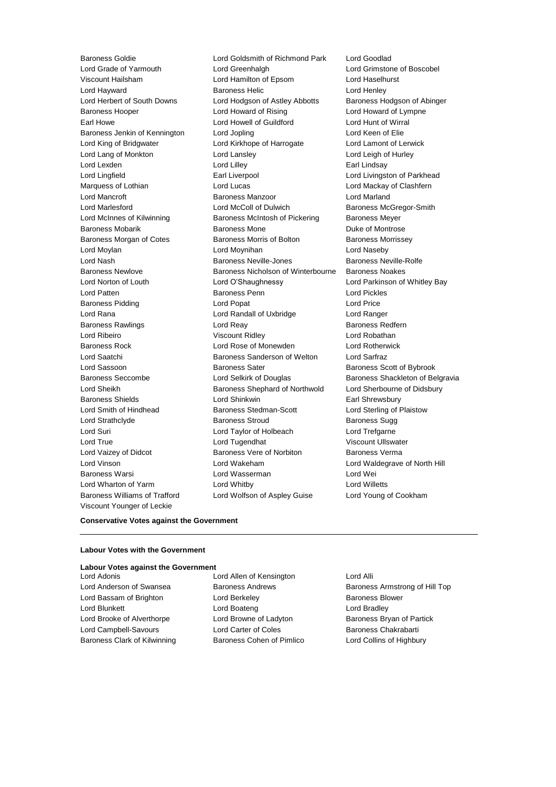Baroness Williams of Trafford Lord Wolfson of Aspley Guise Lord Young of Cookham Viscount Younger of Leckie

Baroness Goldie **Lord Goldsmith of Richmond Park** Lord Goodlad<br>
Lord Grade of Yarmouth **Lord Greenhalgh** Lord Greenhaldh Lord Grimstor Lord Greenhalgh **Lord Grimstone of Boscobel** Viscount Hailsham Lord Hamilton of Epsom Lord Haselhurst Lord Hayward **Baroness Helic** Lord Henley Lord Herbert of South Downs Lord Hodgson of Astley Abbotts Baroness Hodgson of Abinger Baroness Hooper **Lord Howard of Rising** Lord Howard of Lympne Earl Howe Lord Howell of Guildford Lord Hunt of Wirral Baroness Jenkin of Kennington Lord Jopling Lord Keen of Elie Lord King of Bridgwater Lord Kirkhope of Harrogate Lord Lamont of Lerwick Lord Lang of Monkton Lord Lansley Lord Leigh of Hurley Lord Lexden **Lord Lindsay** Lord Lilley **Communication** Lord Lilley **Earl Lindsay** Lord Lingfield **Earl Liverpool** Earl Liverpool Lord Livingston of Parkhead Marquess of Lothian **Lord Lord Lucas** Lord Lucas **Lord Mackay of Clashfern** Lord Mancroft **Baroness Manzoor Baroness Manzoor Lord Marland** Lord Marlesford **Lord McColl of Dulwich** Baroness McGregor-Smith Lord McInnes of Kilwinning Baroness McIntosh of Pickering Baroness Meyer Baroness Mobarik **Baroness Mone** Baroness Mone **Duke of Montrose** Baroness Morgan of Cotes **Baroness Morris of Bolton** Baroness Morrissey Lord Moylan Lord Moynihan Lord Naseby Lord Nash Baroness Neville-Jones Baroness Neville-Rolfe Baroness Newlove Baroness Nicholson of Winterbourne Baroness Noakes Lord Norton of Louth Lord O'Shaughnessy Lord Parkinson of Whitley Bay Lord Patten Baroness Penn Lord Pickles Baroness Pidding **Lord Popat Contract Contract Contract Contract Contract Contract Contract Contract Contract Contract Contract Contract Contract Contract Contract Contract Contract Contract Contract Contract Contract Cont** Lord Rana Lord Randall of Uxbridge Lord Ranger Baroness Rawlings **Baroness Redfern** Lord Reay **Baroness Redfern** Lord Ribeiro Viscount Ridley Lord Robathan Baroness Rock Lord Rose of Monewden Lord Rotherwick Lord Saatchi Baroness Sanderson of Welton Lord Sarfraz Lord Sassoon **Baroness Sater** Baroness Sater Baroness Scott of Bybrook Baroness Seccombe **Lord Selkirk of Douglas** Baroness Shackleton of Belgravia Lord Sheikh **Baroness Shephard of Northwold** Lord Sherbourne of Didsbury Baroness Shields **Earl Shinkwin** Lord Shinkwin **Earl Shrewsbury** Lord Smith of Hindhead **Baroness Stedman-Scott** Lord Sterling of Plaistow Lord Strathclyde **Baroness Stroud** Baroness Sugg Lord Suri Lord Taylor of Holbeach Lord Trefgarne Lord True **Lord Tugendhat** Viscount Ullswater Lord Vaizey of Didcot **Baroness Vere of Norbiton** Baroness Verma Lord Vinson Lord Wakeham Lord Waldegrave of North Hill Baroness Warsi Lord Wasserman Lord Wei Lord Wharton of Yarm Lord Whitby Lord Willetts

## **Conservative Votes against the Government**

## **Labour Votes with the Government**

## **Labour Votes against the Government**

Lord Bassam of Brighton **Lord Berkeley Baroness Blower** Baroness Blower Lord Blunkett **Lord Boateng** Lord Boateng **Lord Bradley** Lord Brooke of Alverthorpe Lord Browne of Ladyton Baroness Bryan of Partick Lord Campbell-Savours **Lord Carter of Coles** Baroness Chakrabarti Baroness Clark of Kilwinning **Baroness Cohen of Pimlico** Lord Collins of Highbury

Lord Adonis Lord Allen of Kensington Lord Alli

Lord Anderson of Swansea **Baroness Andrews** Baroness Armstrong of Hill Top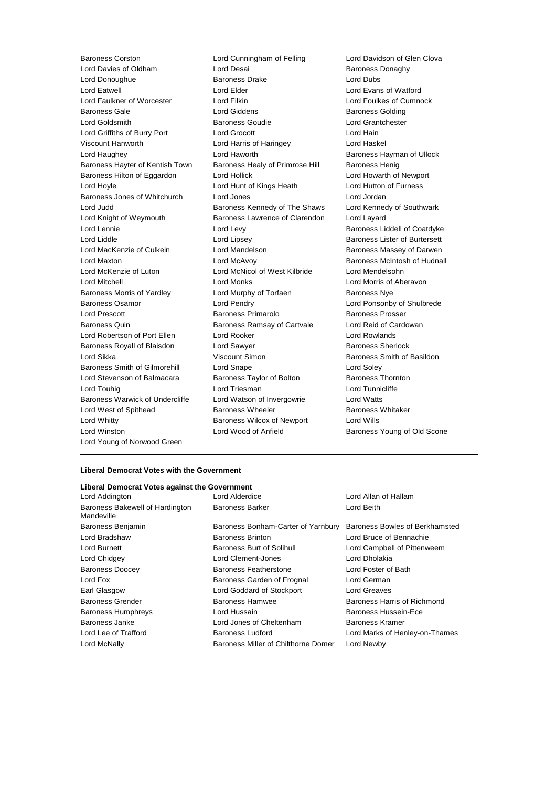Lord Davies of Oldham Lord Desai Baroness Donaghy<br>
Lord Donaughue **Baroness Davies Drake** Lord Dubs<br>
Baroness Drake Lord Dubs Lord Donoughue Baroness Drake Lord Dubs Lord Eatwell Lord Elder Lord Evans of Watford Lord Faulkner of Worcester **Lord Filkin** Lord Filkin Lord Foulkes of Cumnock Baroness Gale **Baroness Golding** Lord Giddens **Baroness Golding** Lord Goldsmith Baroness Goudie Lord Grantchester Lord Griffiths of Burry Port Lord Grocott Lord Hain Viscount Hanworth Lord Harris of Haringey Lord Haskel Lord Haughey Lord Haworth Baroness Hayman of Ullock Baroness Hayter of Kentish Town Baroness Healy of Primrose Hill Baroness Henig Baroness Hilton of Eggardon Lord Hollick Lord Howarth of Newport Lord Hoyle Lord Hunt of Kings Heath Lord Hutton of Furness Baroness Jones of Whitchurch Lord Jones Lord Jordan Lord Judd **Baroness Kennedy of The Shaws** Lord Kennedy of Southwark Lord Knight of Weymouth Baroness Lawrence of Clarendon Lord Layard Lord Lennie **Lord Levy** Lord Levy **Baroness Liddell of Coatdyke** Lord Liddle **Lord Lipsey** Lord Lipsey **Baroness Lister of Burtersett** Lord MacKenzie of Culkein **Lord Mandelson** Baroness Massey of Darwen Lord Maxton Lord McAvoy Baroness McIntosh of Hudnall Lord McKenzie of Luton Lord McNicol of West Kilbride Lord Mendelsohn Lord Mitchell Lord Monks Lord Morris of Aberavon Baroness Morris of Yardley **Lord Murphy of Torfaen** Baroness Nye Baroness Osamor Lord Pendry Lord Ponsonby of Shulbrede Lord Prescott Baroness Primarolo Baroness Prosser Baroness Quin **Baroness Ramsay of Cartvale** Lord Reid of Cardowan Lord Robertson of Port Ellen Lord Rooker Lord Rowlands Baroness Royall of Blaisdon Lord Sawyer **Baroness Sherlock** Baroness Sherlock Lord Sikka **Viscount Simon Baroness Smith of Basildon Lord Sikka** Baroness Smith of Gilmorehill Lord Snape Lord Soley Lord Stevenson of Balmacara Baroness Taylor of Bolton Baroness Thornton Lord Touhig Lord Triesman Lord Tunnicliffe Baroness Warwick of Undercliffe Lord Watson of Invergowrie Lord Watts Lord West of Spithead **Baroness Wheeler** Baroness Wheeler Baroness Whitaker Lord Whitty Baroness Wilcox of Newport Lord Wills Lord Winston Lord Wood of Anfield Baroness Young of Old Scone Lord Young of Norwood Green

Baroness Corston **Lord Cunningham of Felling** Lord Davidson of Glen Clova<br>
Lord Davies of Oldham Lord Desai **Lord Desai** Baroness Donadhy

## **Liberal Democrat Votes with the Government**

| Liberal Democrat Votes against the Government |                                     |                                |
|-----------------------------------------------|-------------------------------------|--------------------------------|
| Lord Addington                                | Lord Alderdice                      | Lord Allan of Hallam           |
| Baroness Bakewell of Hardington<br>Mandeville | <b>Baroness Barker</b>              | Lord Beith                     |
| Baroness Benjamin                             | Baroness Bonham-Carter of Yarnbury  | Baroness Bowles of Berkhamsted |
| Lord Bradshaw                                 | <b>Baroness Brinton</b>             | Lord Bruce of Bennachie        |
| Lord Burnett                                  | Baroness Burt of Solihull           | Lord Campbell of Pittenweem    |
| Lord Chidgey                                  | Lord Clement-Jones                  | Lord Dholakia                  |
| <b>Baroness Doocey</b>                        | Baroness Featherstone               | Lord Foster of Bath            |
| Lord Fox                                      | Baroness Garden of Frognal          | Lord German                    |
| Earl Glasgow                                  | Lord Goddard of Stockport           | Lord Greaves                   |
| <b>Baroness Grender</b>                       | Baroness Hamwee                     | Baroness Harris of Richmond    |
| <b>Baroness Humphreys</b>                     | Lord Hussain                        | Baroness Hussein-Ece           |
| Baroness Janke                                | Lord Jones of Cheltenham            | Baroness Kramer                |
| Lord Lee of Trafford                          | Baroness Ludford                    | Lord Marks of Henley-on-Thames |
| Lord McNally                                  | Baroness Miller of Chilthorne Domer | Lord Newby                     |
|                                               |                                     |                                |